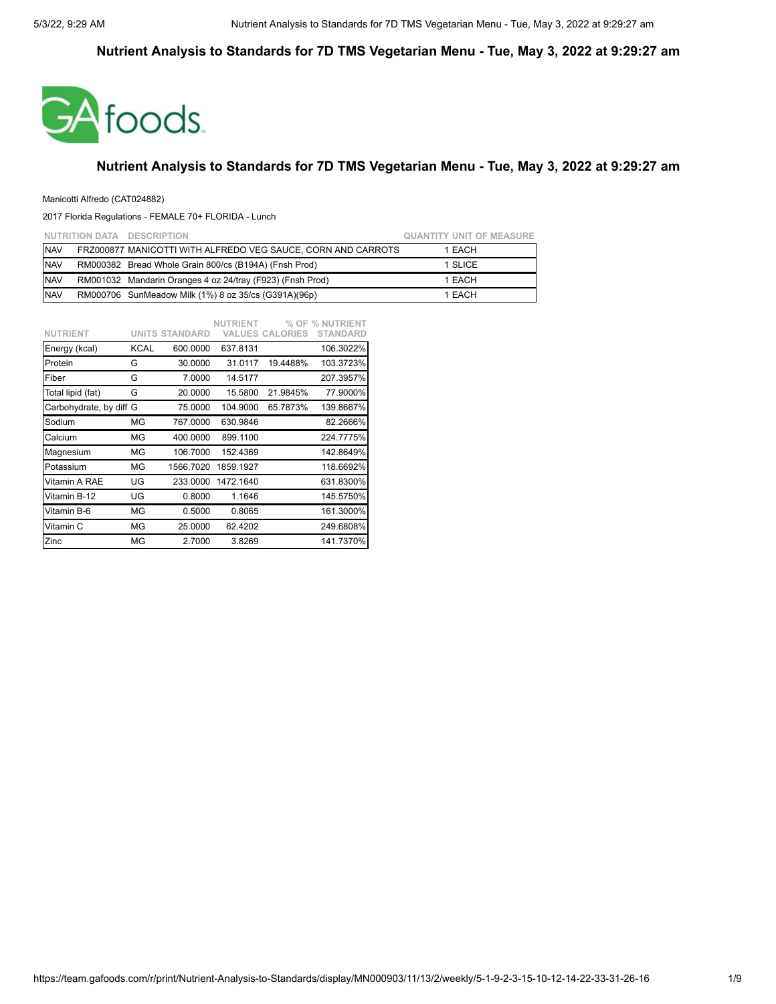

### **Nutrient Analysis to Standards for 7D TMS Vegetarian Menu - Tue, May 3, 2022 at 9:29:27 am**

### Manicotti Alfredo (CAT024882)

|            | NUTRITION DATA DESCRIPTION                                   | <b>QUANTITY UNIT OF MEASURE</b> |
|------------|--------------------------------------------------------------|---------------------------------|
| <b>NAV</b> | FRZ000877 MANICOTTI WITH ALFREDO VEG SAUCE, CORN AND CARROTS | 1 EACH                          |
| <b>NAV</b> | RM000382 Bread Whole Grain 800/cs (B194A) (Fnsh Prod)        | 1 SLICE                         |
| <b>NAV</b> | RM001032 Mandarin Oranges 4 oz 24/tray (F923) (Fnsh Prod)    | 1 EACH                          |
| <b>NAV</b> | RM000706 SunMeadow Milk (1%) 8 oz 35/cs (G391A)(96p)         | 1 EACH                          |

|                         |      |                       | <b>NUTRIENT</b> |                        | % OF % NUTRIENT |
|-------------------------|------|-----------------------|-----------------|------------------------|-----------------|
| <b>NUTRIENT</b>         |      | <b>UNITS STANDARD</b> |                 | <b>VALUES CALORIES</b> | <b>STANDARD</b> |
| Energy (kcal)           | KCAL | 600.0000              | 637.8131        |                        | 106.3022%       |
| Protein                 | G    | 30.0000               | 31.0117         | 19.4488%               | 103.3723%       |
| Fiber                   | G    | 7.0000                | 14.5177         |                        | 207.3957%       |
| Total lipid (fat)       | G    | 20.0000               | 15.5800         | 21.9845%               | 77.9000%        |
| Carbohydrate, by diff G |      | 75.0000               | 104.9000        | 65.7873%               | 139.8667%       |
| Sodium                  | ΜG   | 767.0000              | 630.9846        |                        | 82.2666%        |
| Calcium                 | ΜG   | 400.0000              | 899.1100        |                        | 224.7775%       |
| Magnesium               | ΜG   | 106.7000              | 152.4369        |                        | 142.8649%       |
| Potassium               | MG   | 1566.7020             | 1859.1927       |                        | 118.6692%       |
| Vitamin A RAE           | UG   | 233.0000              | 1472.1640       |                        | 631.8300%       |
| Vitamin B-12            | UG   | 0.8000                | 1.1646          |                        | 145.5750%       |
| Vitamin B-6             | ΜG   | 0.5000                | 0.8065          |                        | 161.3000%       |
| Vitamin C               | ΜG   | 25.0000               | 62.4202         |                        | 249.6808%       |
| Zinc                    | ΜG   | 2.7000                | 3.8269          |                        | 141.7370%       |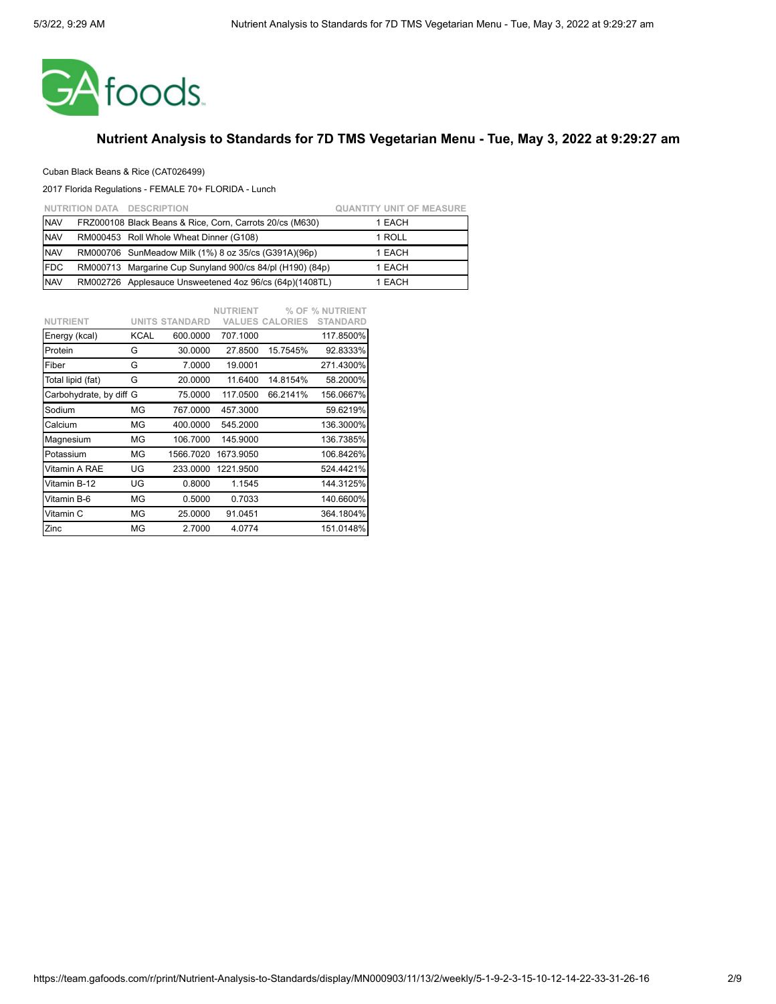

### Cuban Black Beans & Rice (CAT026499)

|            | NUTRITION DATA DESCRIPTION                                | <b>QUANTITY UNIT OF MEASURE</b> |
|------------|-----------------------------------------------------------|---------------------------------|
| <b>NAV</b> | FRZ000108 Black Beans & Rice, Corn, Carrots 20/cs (M630)  | 1 EACH                          |
| <b>NAV</b> | RM000453 Roll Whole Wheat Dinner (G108)                   | 1 ROLL                          |
| <b>NAV</b> | RM000706 SunMeadow Milk (1%) 8 oz 35/cs (G391A)(96p)      | 1 EACH                          |
| <b>FDC</b> | RM000713 Margarine Cup Sunyland 900/cs 84/pl (H190) (84p) | 1 EACH                          |
| <b>NAV</b> | RM002726 Applesauce Unsweetened 4oz 96/cs (64p)(1408TL)   | 1 EACH                          |

|                         |             |                       | <b>NUTRIENT</b> |                        | % OF % NUTRIENT |
|-------------------------|-------------|-----------------------|-----------------|------------------------|-----------------|
| <b>NUTRIENT</b>         |             | <b>UNITS STANDARD</b> |                 | <b>VALUES CALORIES</b> | <b>STANDARD</b> |
| Energy (kcal)           | <b>KCAL</b> | 600.0000              | 707.1000        |                        | 117.8500%       |
| Protein                 | G           | 30.0000               | 27.8500         | 15.7545%               | 92.8333%        |
| Fiber                   | G           | 7.0000                | 19.0001         |                        | 271.4300%       |
| Total lipid (fat)       | G           | 20.0000               | 11.6400         | 14.8154%               | 58.2000%        |
| Carbohydrate, by diff G |             | 75.0000               | 117.0500        | 66.2141%               | 156.0667%       |
| Sodium                  | ΜG          | 767.0000              | 457.3000        |                        | 59.6219%        |
| Calcium                 | ΜG          | 400.0000              | 545.2000        |                        | 136.3000%       |
| Magnesium               | ΜG          | 106.7000              | 145.9000        |                        | 136.7385%       |
| Potassium               | ΜG          | 1566.7020             | 1673.9050       |                        | 106.8426%       |
| Vitamin A RAE           | UG          | 233.0000              | 1221.9500       |                        | 524.4421%       |
| Vitamin B-12            | UG          | 0.8000                | 1.1545          |                        | 144.3125%       |
| Vitamin B-6             | MG          | 0.5000                | 0.7033          |                        | 140.6600%       |
| Vitamin C               | ΜG          | 25.0000               | 91.0451         |                        | 364.1804%       |
| Zinc                    | ΜG          | 2.7000                | 4.0774          |                        | 151.0148%       |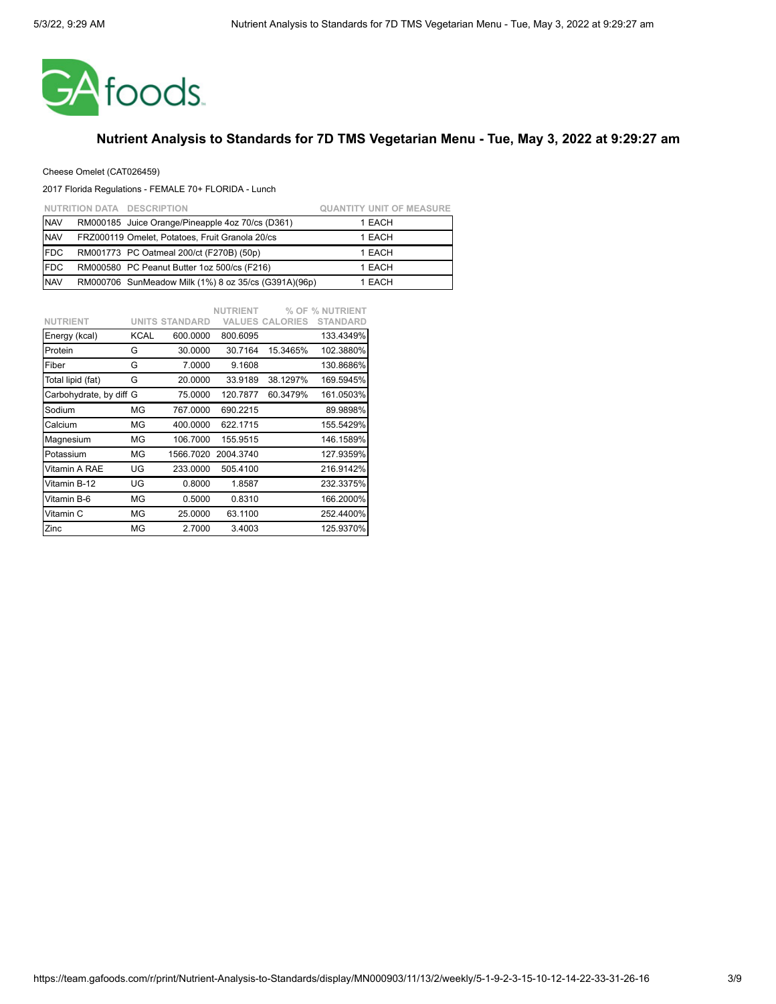

### Cheese Omelet (CAT026459)

|            | NUTRITION DATA DESCRIPTION                           | <b>QUANTITY UNIT OF MEASURE</b> |
|------------|------------------------------------------------------|---------------------------------|
| <b>NAV</b> | RM000185 Juice Orange/Pineapple 4oz 70/cs (D361)     | 1 EACH                          |
| <b>NAV</b> | FRZ000119 Omelet, Potatoes, Fruit Granola 20/cs      | 1 EACH                          |
| <b>FDC</b> | RM001773 PC Oatmeal 200/ct (F270B) (50p)             | 1 EACH                          |
| <b>FDC</b> | RM000580 PC Peanut Butter 1oz 500/cs (F216)          | 1 EACH                          |
| <b>NAV</b> | RM000706 SunMeadow Milk (1%) 8 oz 35/cs (G391A)(96p) | 1 EACH                          |

|                         |      |                       | <b>NUTRIENT</b> |                        | % OF % NUTRIENT |
|-------------------------|------|-----------------------|-----------------|------------------------|-----------------|
| <b>NUTRIENT</b>         |      | <b>UNITS STANDARD</b> |                 | <b>VALUES CALORIES</b> | <b>STANDARD</b> |
| Energy (kcal)           | KCAL | 600.0000              | 800.6095        |                        | 133.4349%       |
| Protein                 | G    | 30.0000               | 30.7164         | 15.3465%               | 102.3880%       |
| Fiber                   | G    | 7.0000                | 9.1608          |                        | 130.8686%       |
| Total lipid (fat)       | G    | 20.0000               | 33.9189         | 38.1297%               | 169.5945%       |
| Carbohydrate, by diff G |      | 75.0000               | 120.7877        | 60.3479%               | 161.0503%       |
| Sodium                  | ΜG   | 767.0000              | 690.2215        |                        | 89.9898%        |
| Calcium                 | ΜG   | 400.0000              | 622.1715        |                        | 155.5429%       |
| Magnesium               | ΜG   | 106.7000              | 155.9515        |                        | 146.1589%       |
| Potassium               | ΜG   | 1566.7020             | 2004.3740       |                        | 127.9359%       |
| Vitamin A RAE           | UG   | 233,0000              | 505.4100        |                        | 216.9142%       |
| Vitamin B-12            | UG   | 0.8000                | 1.8587          |                        | 232.3375%       |
| Vitamin B-6             | ΜG   | 0.5000                | 0.8310          |                        | 166.2000%       |
| Vitamin C               | MG   | 25.0000               | 63.1100         |                        | 252.4400%       |
| Zinc                    | MG   | 2.7000                | 3.4003          |                        | 125.9370%       |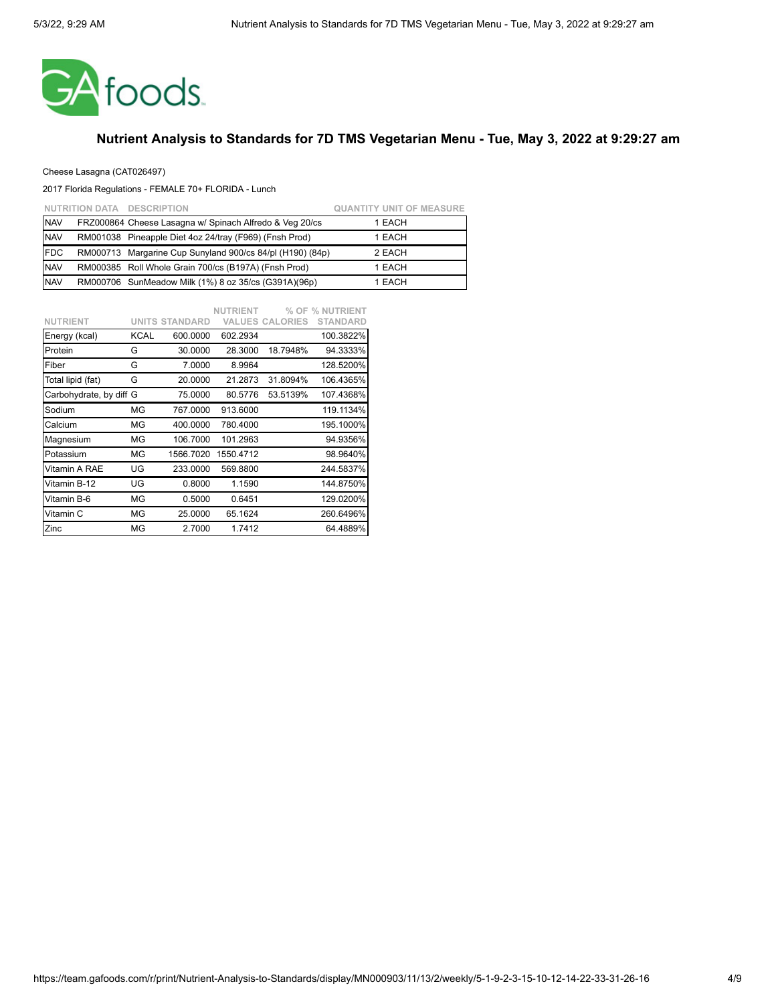

### Cheese Lasagna (CAT026497)

|            | NUTRITION DATA DESCRIPTION                                | <b>QUANTITY UNIT OF MEASURE</b> |
|------------|-----------------------------------------------------------|---------------------------------|
| <b>NAV</b> | FRZ000864 Cheese Lasagna w/ Spinach Alfredo & Veg 20/cs   | 1 EACH                          |
| <b>NAV</b> | RM001038 Pineapple Diet 4oz 24/tray (F969) (Fnsh Prod)    | 1 EACH                          |
| <b>FDC</b> | RM000713 Margarine Cup Sunyland 900/cs 84/pl (H190) (84p) | 2 EACH                          |
| <b>NAV</b> | RM000385 Roll Whole Grain 700/cs (B197A) (Fnsh Prod)      | 1 EACH                          |
| <b>NAV</b> | RM000706 SunMeadow Milk (1%) 8 oz 35/cs (G391A)(96p)      | 1 EACH                          |

|                         |      |                       | <b>NUTRIENT</b> |                        | % OF % NUTRIENT |
|-------------------------|------|-----------------------|-----------------|------------------------|-----------------|
| <b>NUTRIENT</b>         |      | <b>UNITS STANDARD</b> |                 | <b>VALUES CALORIES</b> | <b>STANDARD</b> |
| Energy (kcal)           | KCAL | 600.0000              | 602.2934        |                        | 100.3822%       |
| Protein                 | G    | 30.0000               | 28.3000         | 18.7948%               | 94.3333%        |
| Fiber                   | G    | 7.0000                | 8.9964          |                        | 128.5200%       |
| Total lipid (fat)       | G    | 20.0000               | 21.2873         | 31.8094%               | 106.4365%       |
| Carbohydrate, by diff G |      | 75.0000               | 80.5776         | 53.5139%               | 107.4368%       |
| Sodium                  | ΜG   | 767.0000              | 913.6000        |                        | 119.1134%       |
| Calcium                 | ΜG   | 400.0000              | 780.4000        |                        | 195.1000%       |
| Magnesium               | ΜG   | 106.7000              | 101.2963        |                        | 94.9356%        |
| Potassium               | ΜG   | 1566.7020             | 1550.4712       |                        | 98.9640%        |
| Vitamin A RAE           | UG   | 233.0000              | 569.8800        |                        | 244.5837%       |
| Vitamin B-12            | UG   | 0.8000                | 1.1590          |                        | 144.8750%       |
| Vitamin B-6             | ΜG   | 0.5000                | 0.6451          |                        | 129.0200%       |
| Vitamin C               | MG   | 25.0000               | 65.1624         |                        | 260.6496%       |
| Zinc                    | MG   | 2.7000                | 1.7412          |                        | 64.4889%        |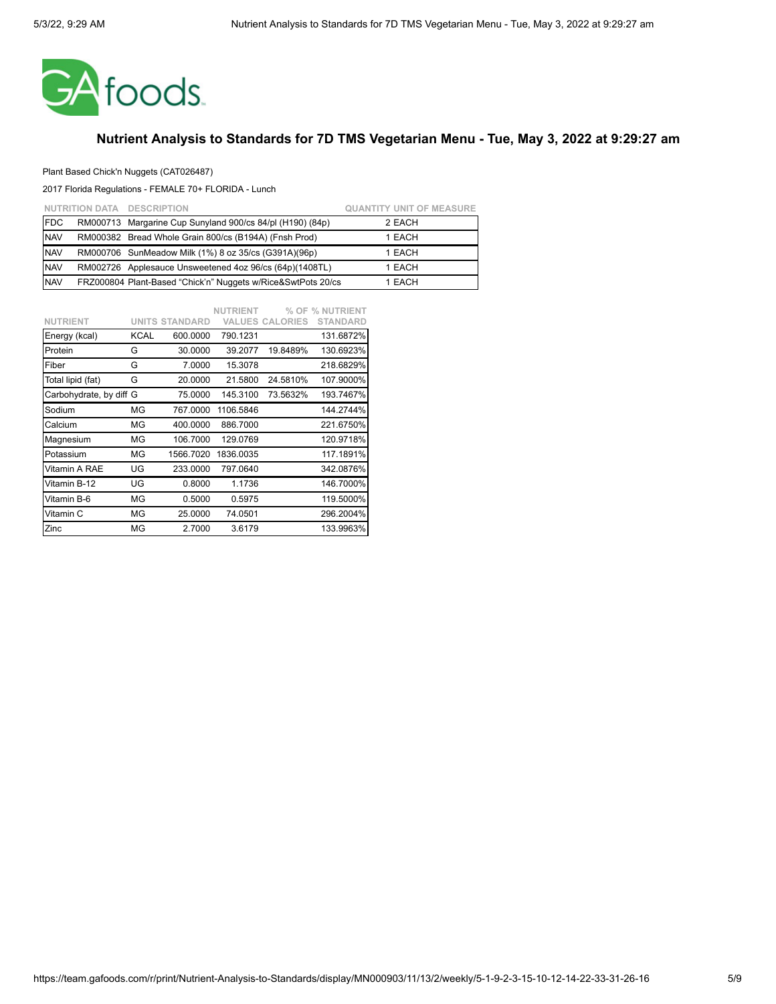

### Plant Based Chick'n Nuggets (CAT026487)

|            | NUTRITION DATA DESCRIPTION                                   | <b>QUANTITY UNIT OF MEASURE</b> |
|------------|--------------------------------------------------------------|---------------------------------|
| <b>FDC</b> | RM000713 Margarine Cup Sunyland 900/cs 84/pl (H190) (84p)    | 2 EACH                          |
| <b>NAV</b> | RM000382 Bread Whole Grain 800/cs (B194A) (Fnsh Prod)        | 1 EACH                          |
| <b>NAV</b> | RM000706 SunMeadow Milk (1%) 8 oz 35/cs (G391A)(96p)         | 1 EACH                          |
| <b>NAV</b> | RM002726 Applesauce Unsweetened 4oz 96/cs (64p)(1408TL)      | 1 EACH                          |
| <b>NAV</b> | FRZ000804 Plant-Based "Chick'n" Nuggets w/Rice&SwtPots 20/cs | 1 EACH                          |

|                         |             |                       | <b>NUTRIENT</b> |                        | % OF % NUTRIENT |
|-------------------------|-------------|-----------------------|-----------------|------------------------|-----------------|
| <b>NUTRIENT</b>         |             | <b>UNITS STANDARD</b> |                 | <b>VALUES CALORIES</b> | <b>STANDARD</b> |
| Energy (kcal)           | <b>KCAL</b> | 600.0000              | 790.1231        |                        | 131.6872%       |
| Protein                 | G           | 30.0000               | 39.2077         | 19.8489%               | 130.6923%       |
| Fiber                   | G           | 7.0000                | 15.3078         |                        | 218.6829%       |
| Total lipid (fat)       | G           | 20.0000               | 21.5800         | 24.5810%               | 107.9000%       |
| Carbohydrate, by diff G |             | 75.0000               | 145.3100        | 73.5632%               | 193.7467%       |
| Sodium                  | ΜG          | 767.0000              | 1106.5846       |                        | 144.2744%       |
| Calcium                 | MG          | 400.0000              | 886.7000        |                        | 221.6750%       |
| Magnesium               | ΜG          | 106.7000              | 129.0769        |                        | 120.9718%       |
| Potassium               | ΜG          | 1566.7020             | 1836.0035       |                        | 117.1891%       |
| Vitamin A RAE           | UG          | 233.0000              | 797.0640        |                        | 342.0876%       |
| Vitamin B-12            | UG          | 0.8000                | 1.1736          |                        | 146.7000%       |
| Vitamin B-6             | ΜG          | 0.5000                | 0.5975          |                        | 119.5000%       |
| Vitamin C               | ΜG          | 25.0000               | 74.0501         |                        | 296.2004%       |
| Zinc                    | MG          | 2.7000                | 3.6179          |                        | 133.9963%       |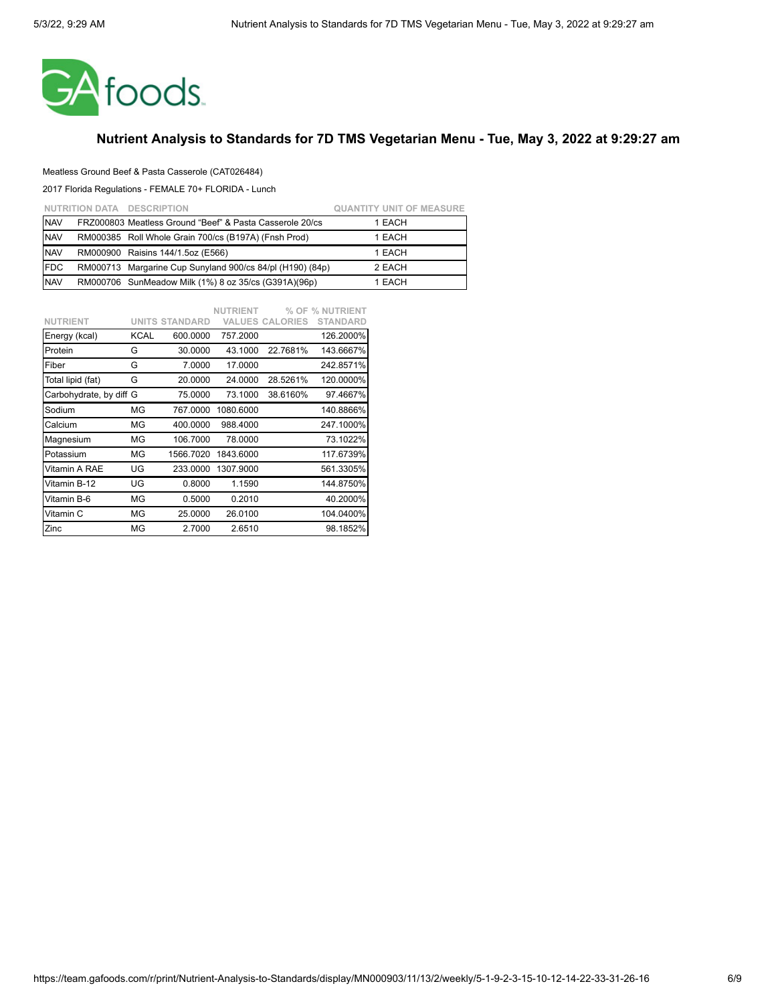

#### Meatless Ground Beef & Pasta Casserole (CAT026484)

|             | NUTRITION DATA DESCRIPTION                                | <b>QUANTITY UNIT OF MEASURE</b> |
|-------------|-----------------------------------------------------------|---------------------------------|
| <b>NAV</b>  | FRZ000803 Meatless Ground "Beef" & Pasta Casserole 20/cs  | 1 EACH                          |
| <b>NAV</b>  | RM000385 Roll Whole Grain 700/cs (B197A) (Fnsh Prod)      | 1 EACH                          |
| <b>NAV</b>  | RM000900 Raisins 144/1.5oz (E566)                         | 1 EACH                          |
| <b>IFDC</b> | RM000713 Margarine Cup Sunyland 900/cs 84/pl (H190) (84p) | 2 EACH                          |
| <b>NAV</b>  | RM000706 SunMeadow Milk (1%) 8 oz 35/cs (G391A)(96p)      | 1 EACH                          |

|                         |             |                       | <b>NUTRIENT</b> |                        | % OF % NUTRIENT |
|-------------------------|-------------|-----------------------|-----------------|------------------------|-----------------|
| <b>NUTRIENT</b>         |             | <b>UNITS STANDARD</b> |                 | <b>VALUES CALORIES</b> | <b>STANDARD</b> |
| Energy (kcal)           | <b>KCAL</b> | 600.0000              | 757.2000        |                        | 126.2000%       |
| Protein                 | G           | 30.0000               | 43.1000         | 22.7681%               | 143.6667%       |
| Fiber                   | G           | 7.0000                | 17.0000         |                        | 242.8571%       |
| Total lipid (fat)       | G           | 20.0000               | 24.0000         | 28.5261%               | 120.0000%       |
| Carbohydrate, by diff G |             | 75.0000               | 73.1000         | 38.6160%               | 97.4667%        |
| Sodium                  | ΜG          | 767.0000              | 1080.6000       |                        | 140.8866%       |
| Calcium                 | MG          | 400.0000              | 988.4000        |                        | 247.1000%       |
| Magnesium               | ΜG          | 106.7000              | 78.0000         |                        | 73.1022%        |
| Potassium               | ΜG          | 1566.7020             | 1843.6000       |                        | 117.6739%       |
| Vitamin A RAE           | UG          | 233.0000              | 1307.9000       |                        | 561.3305%       |
| Vitamin B-12            | UG          | 0.8000                | 1.1590          |                        | 144.8750%       |
| Vitamin B-6             | ΜG          | 0.5000                | 0.2010          |                        | 40.2000%        |
| Vitamin C               | ΜG          | 25.0000               | 26.0100         |                        | 104.0400%       |
| Zinc                    | MG          | 2.7000                | 2.6510          |                        | 98.1852%        |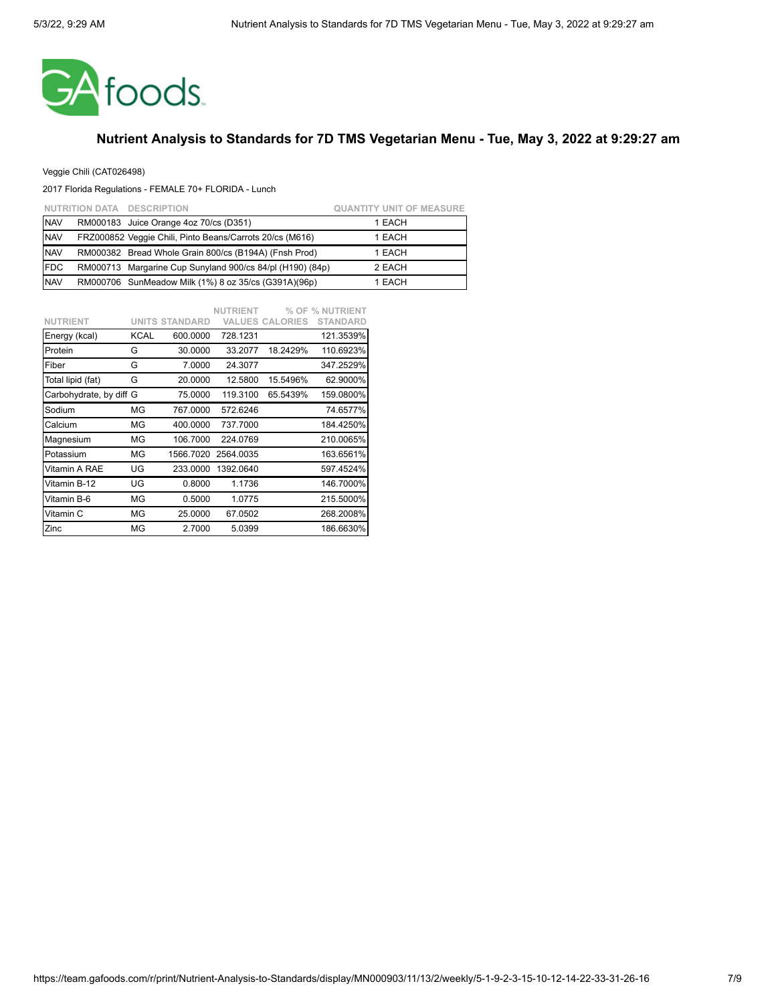

### Veggie Chili (CAT026498)

|            | NUTRITION DATA DESCRIPTION                                | <b>QUANTITY UNIT OF MEASURE</b> |
|------------|-----------------------------------------------------------|---------------------------------|
| <b>NAV</b> | RM000183 Juice Orange 4oz 70/cs (D351)                    | 1 EACH                          |
| <b>NAV</b> | FRZ000852 Veggie Chili, Pinto Beans/Carrots 20/cs (M616)  | 1 EACH                          |
| <b>NAV</b> | RM000382 Bread Whole Grain 800/cs (B194A) (Fnsh Prod)     | 1 EACH                          |
| <b>FDC</b> | RM000713 Margarine Cup Sunyland 900/cs 84/pl (H190) (84p) | 2 EACH                          |
| <b>NAV</b> | RM000706 SunMeadow Milk (1%) 8 oz 35/cs (G391A)(96p)      | 1 EACH                          |

|                         |             |                       | <b>NUTRIENT</b> |                        | % OF % NUTRIENT |
|-------------------------|-------------|-----------------------|-----------------|------------------------|-----------------|
| <b>NUTRIENT</b>         |             | <b>UNITS STANDARD</b> |                 | <b>VALUES CALORIES</b> | <b>STANDARD</b> |
| Energy (kcal)           | <b>KCAL</b> | 600.0000              | 728.1231        |                        | 121.3539%       |
| Protein                 | G           | 30.0000               | 33.2077         | 18.2429%               | 110.6923%       |
| Fiber                   | G           | 7.0000                | 24.3077         |                        | 347.2529%       |
| Total lipid (fat)       | G           | 20.0000               | 12.5800         | 15.5496%               | 62.9000%        |
| Carbohydrate, by diff G |             | 75.0000               | 119.3100        | 65.5439%               | 159.0800%       |
| Sodium                  | ΜG          | 767.0000              | 572.6246        |                        | 74.6577%        |
| Calcium                 | MG          | 400.0000              | 737.7000        |                        | 184.4250%       |
| Magnesium               | ΜG          | 106.7000              | 224.0769        |                        | 210.0065%       |
| Potassium               | ΜG          | 1566.7020             | 2564.0035       |                        | 163.6561%       |
| Vitamin A RAE           | UG          | 233.0000              | 1392.0640       |                        | 597.4524%       |
| Vitamin B-12            | UG          | 0.8000                | 1.1736          |                        | 146.7000%       |
| Vitamin B-6             | ΜG          | 0.5000                | 1.0775          |                        | 215.5000%       |
| Vitamin C               | ΜG          | 25.0000               | 67.0502         |                        | 268.2008%       |
| Zinc                    | ΜG          | 2.7000                | 5.0399          |                        | 186.6630%       |